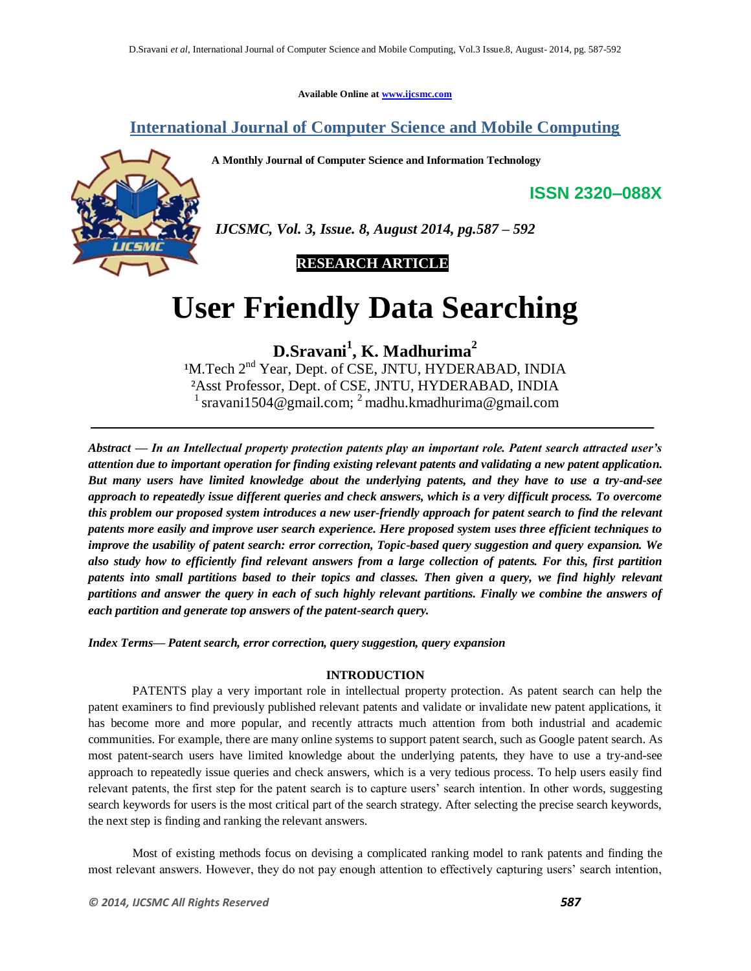**Available Online at www.ijcsmc.com**

# **International Journal of Computer Science and Mobile Computing**

**A Monthly Journal of Computer Science and Information Technology**



*IJCSMC, Vol. 3, Issue. 8, August 2014, pg.587 – 592*

 **RESEARCH ARTICLE**

# **User Friendly Data Searching**

**D.Sravani<sup>1</sup> , K. Madhurima<sup>2</sup>**

<sup>1</sup>M.Tech 2<sup>nd</sup> Year, Dept. of CSE, JNTU, HYDERABAD, INDIA ²Asst Professor, Dept. of CSE, JNTU, HYDERABAD, INDIA <sup>1</sup> sravani1504@gmail.com; <sup>2</sup> madhu.kmadhurima@gmail.com

*Abstract — In an Intellectual property protection patents play an important role. Patent search attracted user's attention due to important operation for finding existing relevant patents and validating a new patent application. But many users have limited knowledge about the underlying patents, and they have to use a try-and-see approach to repeatedly issue different queries and check answers, which is a very difficult process. To overcome this problem our proposed system introduces a new user-friendly approach for patent search to find the relevant patents more easily and improve user search experience. Here proposed system uses three efficient techniques to improve the usability of patent search: error correction, Topic-based query suggestion and query expansion. We also study how to efficiently find relevant answers from a large collection of patents. For this, first partition patents into small partitions based to their topics and classes. Then given a query, we find highly relevant partitions and answer the query in each of such highly relevant partitions. Finally we combine the answers of each partition and generate top answers of the patent-search query.* 

*Index Terms— Patent search, error correction, query suggestion, query expansion*

# **INTRODUCTION**

PATENTS play a very important role in intellectual property protection. As patent search can help the patent examiners to find previously published relevant patents and validate or invalidate new patent applications, it has become more and more popular, and recently attracts much attention from both industrial and academic communities. For example, there are many online systems to support patent search, such as Google patent search. As most patent-search users have limited knowledge about the underlying patents, they have to use a try-and-see approach to repeatedly issue queries and check answers, which is a very tedious process. To help users easily find relevant patents, the first step for the patent search is to capture users' search intention. In other words, suggesting search keywords for users is the most critical part of the search strategy. After selecting the precise search keywords, the next step is finding and ranking the relevant answers.

Most of existing methods focus on devising a complicated ranking model to rank patents and finding the most relevant answers. However, they do not pay enough attention to effectively capturing users' search intention,

**ISSN 2320–088X**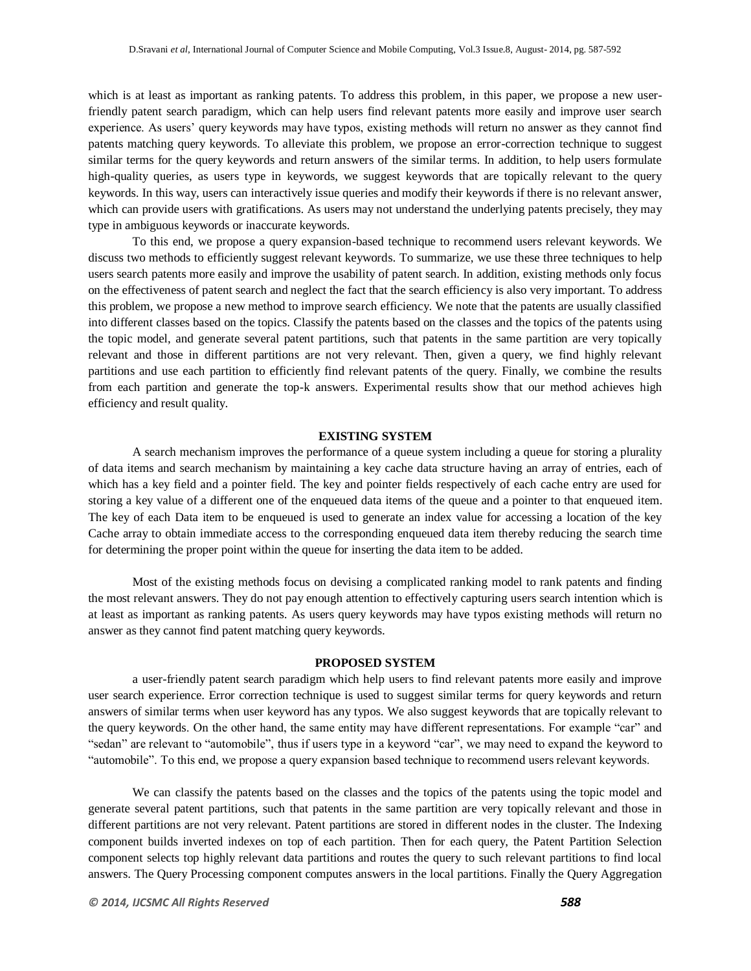which is at least as important as ranking patents. To address this problem, in this paper, we propose a new userfriendly patent search paradigm, which can help users find relevant patents more easily and improve user search experience. As users' query keywords may have typos, existing methods will return no answer as they cannot find patents matching query keywords. To alleviate this problem, we propose an error-correction technique to suggest similar terms for the query keywords and return answers of the similar terms. In addition, to help users formulate high-quality queries, as users type in keywords, we suggest keywords that are topically relevant to the query keywords. In this way, users can interactively issue queries and modify their keywords if there is no relevant answer, which can provide users with gratifications. As users may not understand the underlying patents precisely, they may type in ambiguous keywords or inaccurate keywords.

To this end, we propose a query expansion-based technique to recommend users relevant keywords. We discuss two methods to efficiently suggest relevant keywords. To summarize, we use these three techniques to help users search patents more easily and improve the usability of patent search. In addition, existing methods only focus on the effectiveness of patent search and neglect the fact that the search efficiency is also very important. To address this problem, we propose a new method to improve search efficiency. We note that the patents are usually classified into different classes based on the topics. Classify the patents based on the classes and the topics of the patents using the topic model, and generate several patent partitions, such that patents in the same partition are very topically relevant and those in different partitions are not very relevant. Then, given a query, we find highly relevant partitions and use each partition to efficiently find relevant patents of the query. Finally, we combine the results from each partition and generate the top-k answers. Experimental results show that our method achieves high efficiency and result quality.

## **EXISTING SYSTEM**

A search mechanism improves the performance of a queue system including a queue for storing a plurality of data items and search mechanism by maintaining a key cache data structure having an array of entries, each of which has a key field and a pointer field. The key and pointer fields respectively of each cache entry are used for storing a key value of a different one of the enqueued data items of the queue and a pointer to that enqueued item. The key of each Data item to be enqueued is used to generate an index value for accessing a location of the key Cache array to obtain immediate access to the corresponding enqueued data item thereby reducing the search time for determining the proper point within the queue for inserting the data item to be added.

Most of the existing methods focus on devising a complicated ranking model to rank patents and finding the most relevant answers. They do not pay enough attention to effectively capturing users search intention which is at least as important as ranking patents. As users query keywords may have typos existing methods will return no answer as they cannot find patent matching query keywords.

# **PROPOSED SYSTEM**

a user-friendly patent search paradigm which help users to find relevant patents more easily and improve user search experience. Error correction technique is used to suggest similar terms for query keywords and return answers of similar terms when user keyword has any typos. We also suggest keywords that are topically relevant to the query keywords. On the other hand, the same entity may have different representations. For example "car" and "sedan" are relevant to "automobile", thus if users type in a keyword "car", we may need to expand the keyword to "automobile". To this end, we propose a query expansion based technique to recommend users relevant keywords.

We can classify the patents based on the classes and the topics of the patents using the topic model and generate several patent partitions, such that patents in the same partition are very topically relevant and those in different partitions are not very relevant. Patent partitions are stored in different nodes in the cluster. The Indexing component builds inverted indexes on top of each partition. Then for each query, the Patent Partition Selection component selects top highly relevant data partitions and routes the query to such relevant partitions to find local answers. The Query Processing component computes answers in the local partitions. Finally the Query Aggregation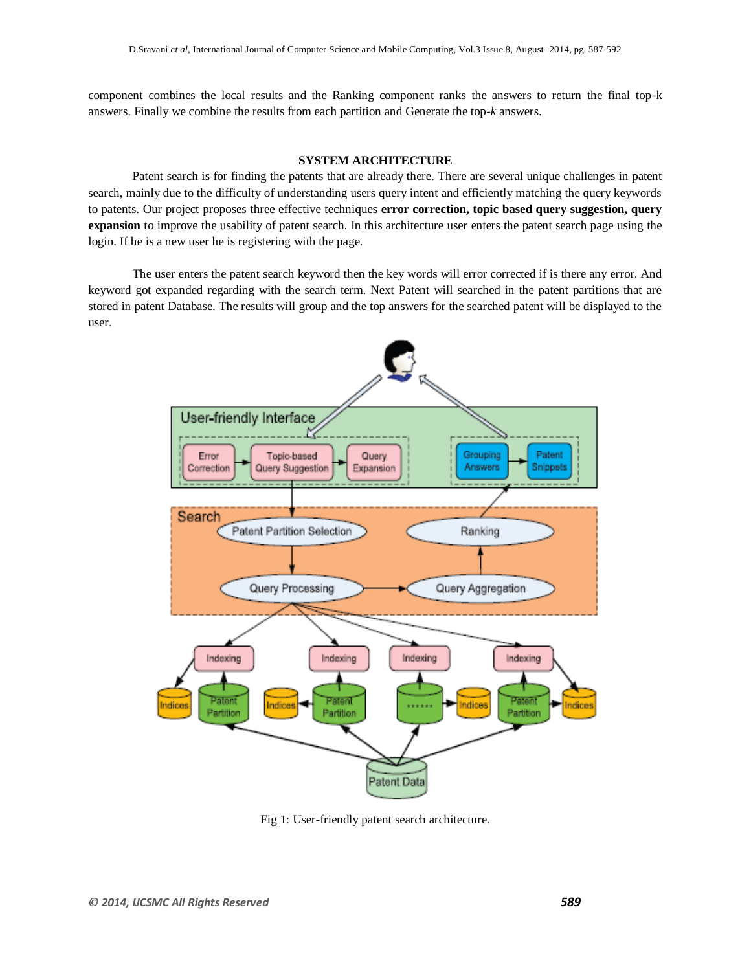component combines the local results and the Ranking component ranks the answers to return the final top-k answers. Finally we combine the results from each partition and Generate the top-*k* answers.

# **SYSTEM ARCHITECTURE**

Patent search is for finding the patents that are already there. There are several unique challenges in patent search, mainly due to the difficulty of understanding users query intent and efficiently matching the query keywords to patents. Our project proposes three effective techniques **error correction, topic based query suggestion, query expansion** to improve the usability of patent search. In this architecture user enters the patent search page using the login. If he is a new user he is registering with the page.

The user enters the patent search keyword then the key words will error corrected if is there any error. And keyword got expanded regarding with the search term. Next Patent will searched in the patent partitions that are stored in patent Database. The results will group and the top answers for the searched patent will be displayed to the user.



Fig 1: User-friendly patent search architecture.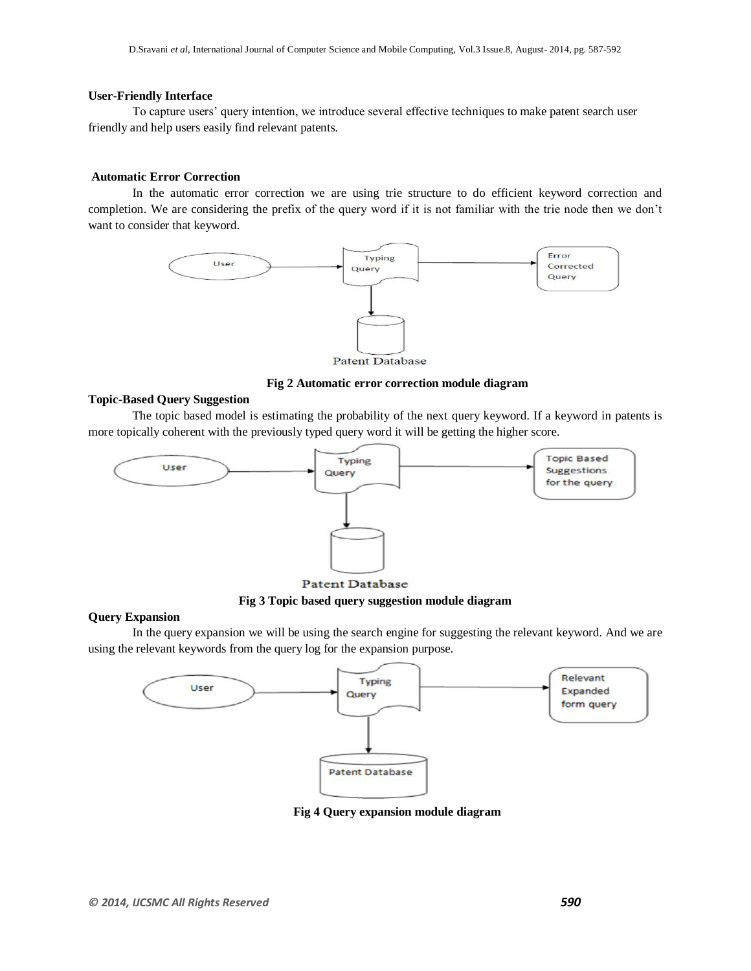# **User-Friendly Interface**

To capture users' query intention, we introduce several effective techniques to make patent search user friendly and help users easily find relevant patents.

# **Automatic Error Correction**

In the automatic error correction we are using trie structure to do efficient keyword correction and completion. We are considering the prefix of the query word if it is not familiar with the trie node then we don't want to consider that keyword.



**Patent Database** 

# **Fig 2 Automatic error correction module diagram**

## **Topic-Based Query Suggestion**

The topic based model is estimating the probability of the next query keyword. If a keyword in patents is more topically coherent with the previously typed query word it will be getting the higher score.



**Patent Database** 

**Fig 3 Topic based query suggestion module diagram**

#### **Query Expansion**

In the query expansion we will be using the search engine for suggesting the relevant keyword. And we are using the relevant keywords from the query log for the expansion purpose.



**Fig 4 Query expansion module diagram**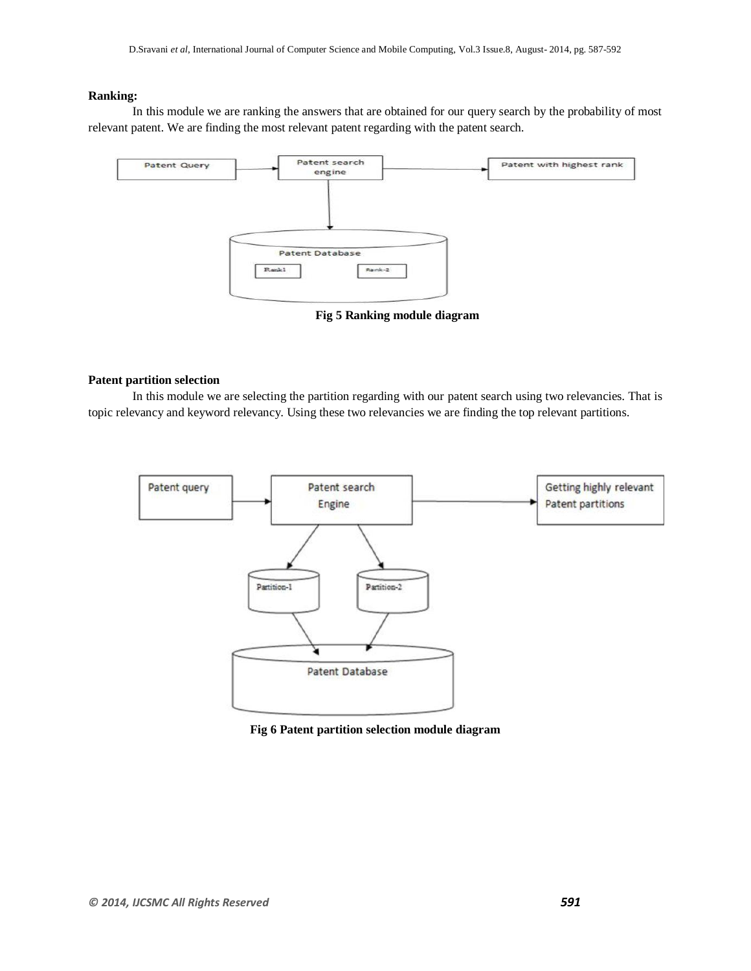# **Ranking:**

In this module we are ranking the answers that are obtained for our query search by the probability of most relevant patent. We are finding the most relevant patent regarding with the patent search.



**Fig 5 Ranking module diagram**

# **Patent partition selection**

In this module we are selecting the partition regarding with our patent search using two relevancies. That is topic relevancy and keyword relevancy. Using these two relevancies we are finding the top relevant partitions.



**Fig 6 Patent partition selection module diagram**